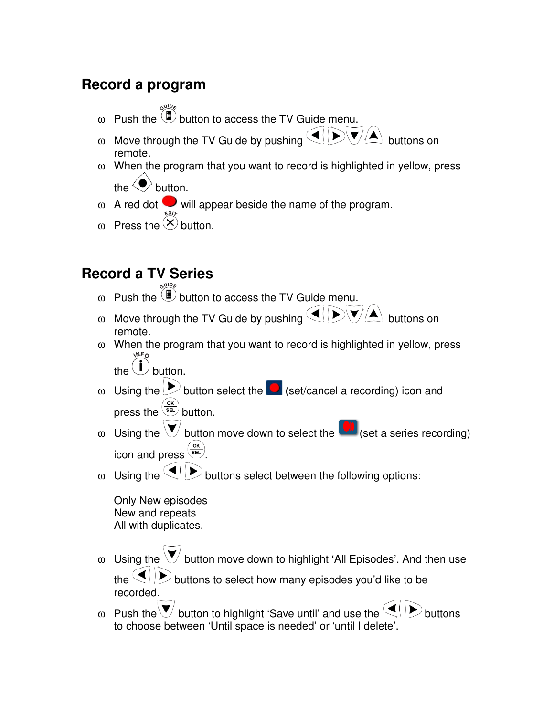### **Record a program**

- ω Push the  $\overline{1}$  button to access the TV Guide menu.
- ω Move through the TV Guide by pushing  $\text{GL}(D\backslash V/\Delta)$  buttons on remote.
- ω When the program that you want to record is highlighted in yellow, press the  $\langle \bullet \rangle$  button.
- $ω$  A red dot will appear beside the name of the program.
- ω Press the  $\otimes$  button.

## **Record a TV Series**

- ω Push the  $\widehat{D}$  button to access the TV Guide menu.
- ω Move through the TV Guide by pushing  $\bigcirc$   $\bigcirc$   $\bigcirc$   $\bigcirc$  buttons on remote.
- ω When the program that you want to record is highlighted in yellow, press the  $\bigcup$  button.

- ω Using the  $\triangleright$  button select the  $\triangleright$  (set/cancel a recording) icon and press the  $\frac{OR}{SEL}$  button.
- ω Using the  $\bigvee$  button move down to select the  $\bigcirc$  (set a series recording) icon and press  $\left(\frac{OR}{SEL}\right)$ .
- ω Using the  $\P\triangleright$  buttons select between the following options:

Only New episodes New and repeats All with duplicates.

- ω Using the  $\vee$  button move down to highlight 'All Episodes'. And then use the  $\leq$   $\geq$  buttons to select how many episodes you'd like to be recorded.
- ω Push the  $\vee$  button to highlight 'Save until' and use the  $\triangleleft$  buttons to choose between 'Until space is needed' or 'until I delete'.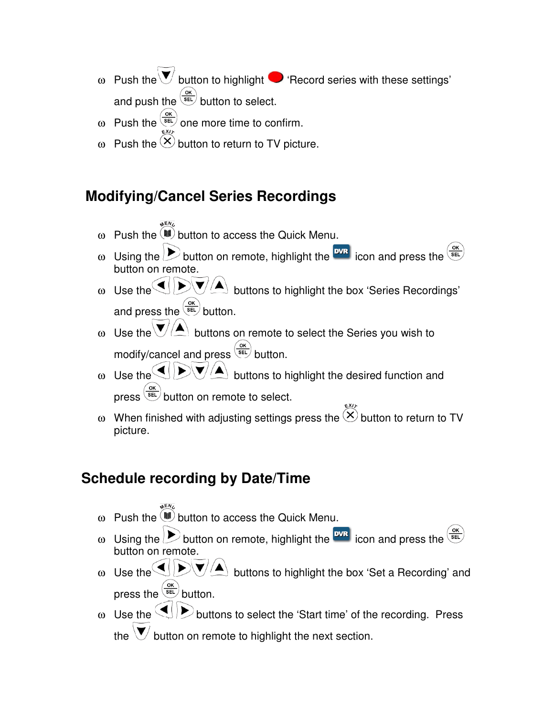- ω Push the  $\blacktriangledown$  button to highlight  $\blacktriangledown$  'Record series with these settings' and push the  $\frac{\text{OBC}}{\text{SE}}$  button to select.
- ω Push the  $\frac{\omega}{\epsilon}$  one more time to confirm.
- ω Push the  $\Diamond$  button to return to TV picture.

## **Modifying/Cancel Series Recordings**

- $\omega$  Push the  $\left(\frac{100}{2}\right)$  button to access the Quick Menu.
- ω Using the  $\sum$  button on remote, highlight the  $\frac{wR}{w}$  icon and press the  $\frac{w}{w}$ button on remote.
- ω Use the  $\bigcirc$   $\bigcirc$   $\bigcirc$   $\bigcirc$   $\bigtriangleup$  buttons to highlight the box 'Series Recordings' and press the  $\frac{\text{ok}}{\text{SE}}$  button.
- ω Use the  $\bigvee/\blacktriangle$  buttons on remote to select the Series you wish to modify/cancel and press  $\frac{\sqrt{ok}}{SE}$  button.
- ω Use the  $\bigcirc$   $\bigcirc$   $\bigcirc$   $\bigcirc$   $\bigcirc$  buttons to highlight the desired function and press  $\frac{d}{det}$  button on remote to select.
- ω When finished with adjusting settings press the  $\otimes$  button to return to TV picture.

## **Schedule recording by Date/Time**

- ω Push the  $\overline{\mathbb{B}}$  button to access the Quick Menu.
- ω Using the  $\sum$  button on remote, highlight the  $\frac{wR}{w}$  icon and press the  $\frac{w}{w}$ button on remote.
- ω Use the  $\bigcirc$   $\bigcirc$   $\bigcirc$   $\bigcirc$   $\bigtriangleup$  buttons to highlight the box 'Set a Recording' and press the  $\frac{OR}{RE}$  button.
- ω Use the  $\bigcirc$  buttons to select the 'Start time' of the recording. Press the  $\bigvee$  button on remote to highlight the next section.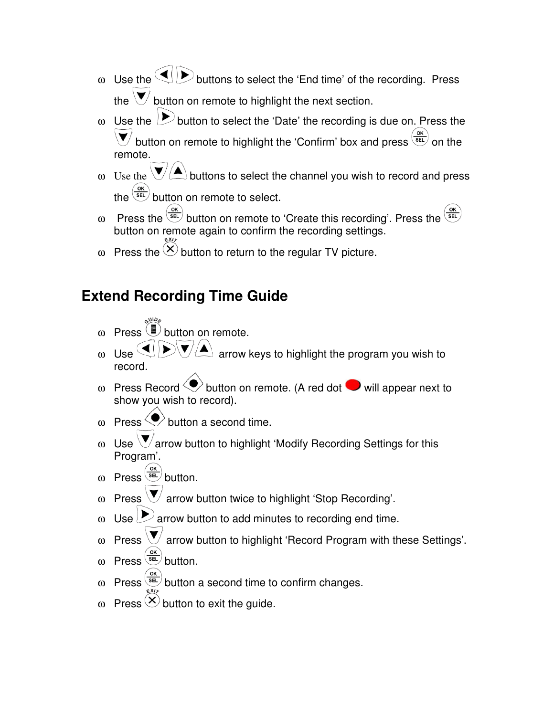- ω Use the  $\bigcirc$  buttons to select the 'End time' of the recording. Press the  $\forall$  button on remote to highlight the next section.
- $\omega$  Use the  $\sum$  button to select the 'Date' the recording is due on. Press the button on remote to highlight the 'Confirm' box and press  $\frac{\text{ok}}{\text{SEL}}$  on the remote.
- ω Use the  $\bigvee/\blacktriangle$  buttons to select the channel you wish to record and press the  $\frac{\text{(ok)}}{\text{SE}}$  button on remote to select.
- ω Press the  $\sqrt{\epsilon}$  button on remote to 'Create this recording'. Press the button on remote again to confirm the recording settings.
- ω Press the  $\circledX$  button to return to the regular TV picture.

#### **Extend Recording Time Guide**

- $ω$  Press  $\bigcirc$  button on remote.
- $U$ se  $\left($   $\left($   $\right)$   $\left\langle$   $\right\rangle$   $\left\langle$   $\right\rangle$  arrow keys to highlight the program you wish to record.
- ω Press Record  $\langle \bullet \rangle$  button on remote. (A red dot  $\bullet$  will appear next to show you wish to record).
- ω Press  $\heartsuit$  button a second time.
- ω Use  $\bigvee$  arrow button to highlight 'Modify Recording Settings for this Program'.
- ω Press  $\frac{G(K)}{SEL}$  button.
- Press  $\forall$  arrow button twice to highlight 'Stop Recording'.
- $\omega$  Use  $\rightarrow$  arrow button to add minutes to recording end time.
- $ω$  Press  $\forall$  arrow button to highlight 'Record Program with these Settings'.
- ω Press  $\frac{\omega K}{\omega}$  button.
- Press  $\frac{\text{(ok)}}{\text{(8E)}}$  button a second time to confirm changes.
- ω Press  $($ <sup> $\times$ </sup> button to exit the guide.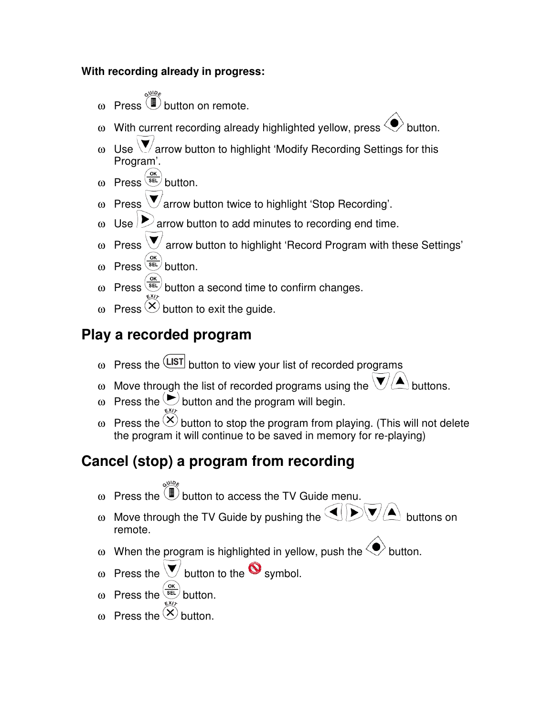#### **With recording already in progress:**

- $ω$  Press  $\dddot{w}$  button on remote.
- ω With current recording already highlighted yellow, press  $\langle \rangle$  button.
- ω Use  $\bigvee$  arrow button to highlight 'Modify Recording Settings for this Program'.
- ω Press  $\frac{OR}{SEL}$  button.
- ω Press  $\bigvee$  arrow button twice to highlight 'Stop Recording'.
- ω Use  $\triangleright$  arrow button to add minutes to recording end time.
- $ω$  Press  $\bigvee$  arrow button to highlight 'Record Program with these Settings'
- ω Press  $\frac{OR}{SEL}$  button.
- ω Press  $\frac{\omega_{\text{rel}}}{\omega}$  button a second time to confirm changes.
- ω Press  $\circledtimes$  button to exit the quide.

## **Play a recorded program**

- ω Press the  $\frac{\text{LIST}}{\text{bottom}}$  button to view your list of recorded programs
- ω Move through the list of recorded programs using the  $\mathcal{V}(\blacktriangle)$  buttons.
- ω Press the  $\odot$  button and the program will begin.
- ω Press the  $\langle \times \rangle$  button to stop the program from playing. (This will not delete the program it will continue to be saved in memory for re-playing)

# **Cancel (stop) a program from recording**

- $\omega$  Press the  $\overline{w}$  button to access the TV Guide menu.
- ω Move through the TV Guide by pushing the  $\Psi(\blacktriangle)$  buttons on remote.
- ω When the program is highlighted in yellow, push the  $\langle \bullet \rangle$  button.
- ω Press the  $\vee$  button to the  $\bullet$  symbol.
- ω Press the  $\frac{\text{ok}}{\text{SEL}}$  button.
- ω Press the  $\otimes$  button.